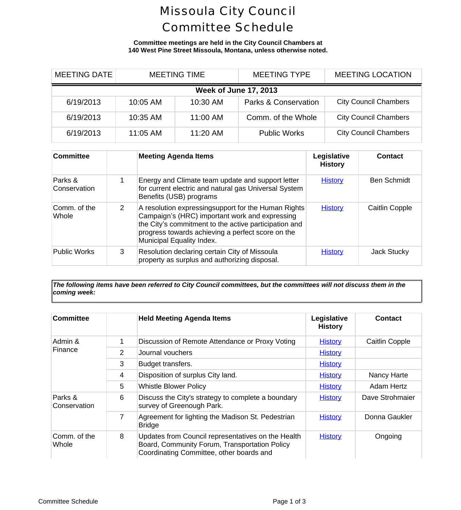# Missoula City Council Committee Schedule

#### **Committee meetings are held in the City Council Chambers at 140 West Pine Street Missoula, Montana, unless otherwise noted.**

| <b>MEETING DATE</b>          | <b>MEETING TIME</b> |          | <b>MEETING TYPE</b>             | <b>MEETING LOCAL</b>     |  |  |
|------------------------------|---------------------|----------|---------------------------------|--------------------------|--|--|
| <b>Week of June 17, 2013</b> |                     |          |                                 |                          |  |  |
| 6/19/2013                    | 10:05 AM            | 10:30 AM | <b>Parks &amp; Conservation</b> | <b>City Council Cham</b> |  |  |
| 6/19/2013                    | 10:35 AM            | 11:00 AM | Comm. of the Whole              | <b>City Council Cham</b> |  |  |
| 6/19/2013                    | $11:05$ AM          | 11:20 AM | <b>Public Works</b>             | <b>City Council Cham</b> |  |  |

| Committee               |   | <b>Meeting Agenda Items</b>                                                                                                                                                                                                                      | Legislative<br><b>History</b> | Contl          |
|-------------------------|---|--------------------------------------------------------------------------------------------------------------------------------------------------------------------------------------------------------------------------------------------------|-------------------------------|----------------|
| Parks &<br>Conservation |   | Energy and Climate team update and support letter<br>for current electric and natural gas Universal System<br>Benefits (USB) programs                                                                                                            | <b>History</b>                | <b>Ben Scl</b> |
| ∣Comm. of the<br>Whole  | 2 | A resolution expressingsupport for the Human Rights<br>Campaign's (HRC) important work and expressing<br>the City's commitment to the active participation and<br>progress towards achieving a perfect score on the<br>Municipal Equality Index. | <b>History</b>                | Caitlin C      |
| <b>Public Works</b>     | 3 | Resolution declaring certain City of Missoula<br>property as surplus and authorizing disposal.                                                                                                                                                   | <b>History</b>                | Jack St        |

*The following items have been referred to City Council committees, but the committees will not discuss them in the coming week:*

| <b>Committee</b>        |   | <b>Held Meeting Agenda Items</b>                                                                                                                | Legislative<br><b>History</b> | Conta      |
|-------------------------|---|-------------------------------------------------------------------------------------------------------------------------------------------------|-------------------------------|------------|
| Admin &<br>Finance      | 1 | Discussion of Remote Attendance or Proxy Voting                                                                                                 | <b>History</b>                | Caitlin C  |
|                         | 2 | Journal vouchers                                                                                                                                | <b>History</b>                |            |
|                         | 3 | Budget transfers.                                                                                                                               | <b>History</b>                |            |
|                         | 4 | Disposition of surplus City land.                                                                                                               | <b>History</b>                | Nancy H    |
|                         | 5 | <b>Whistle Blower Policy</b>                                                                                                                    | <b>History</b>                | Adam H     |
| Parks &<br>Conservation | 6 | Discuss the City's strategy to complete a boundary<br>survey of Greenough Park.                                                                 | <b>History</b>                | Dave Strol |
|                         | 7 | Agreement for lighting the Madison St. Pedestrian<br><b>Bridge</b>                                                                              | <b>History</b>                | Donna Ga   |
| Comm. of the<br>Whole   | 8 | Updates from Council representatives on the Health<br>Board, Community Forum, Transportation Policy<br>Coordinating Committee, other boards and | <b>History</b>                | Ongoi      |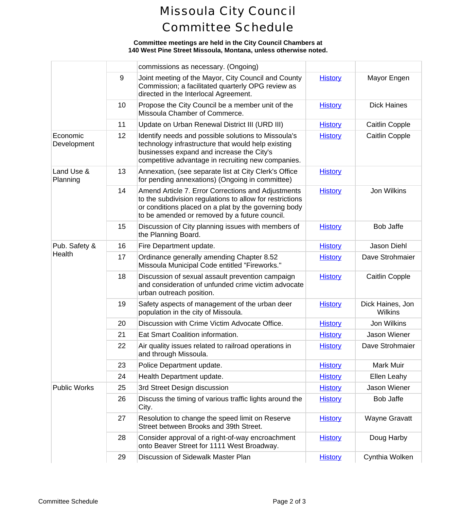# Missoula City Council Committee Schedule

### **Committee meetings are held in the City Council Chambers at 140 West Pine Street Missoula, Montana, unless otherwise noted.**

|                         |    | commissions as necessary. (Ongoing)                                                                                                                                                                                     |                |                             |
|-------------------------|----|-------------------------------------------------------------------------------------------------------------------------------------------------------------------------------------------------------------------------|----------------|-----------------------------|
|                         | 9  | Joint meeting of the Mayor, City Council and County<br>Commission; a facilitated quarterly OPG review as<br>directed in the Interlocal Agreement.                                                                       | <b>History</b> | Mayor E                     |
|                         | 10 | Propose the City Council be a member unit of the<br>Missoula Chamber of Commerce.                                                                                                                                       | <b>History</b> | Dick Ha                     |
|                         | 11 | Update on Urban Renewal District III (URD III)                                                                                                                                                                          | <b>History</b> | Caitlin C                   |
| Economic<br>Development | 12 | Identify needs and possible solutions to Missoula's<br>technology infrastructure that would help existing<br>businesses expand and increase the City's<br>competitive advantage in recruiting new companies.            | <b>History</b> | Caitlin C                   |
| Land Use &<br>Planning  | 13 | Annexation, (see separate list at City Clerk's Office<br>for pending annexations) (Ongoing in committee)                                                                                                                | <b>History</b> |                             |
|                         | 14 | Amend Article 7. Error Corrections and Adjustments<br>to the subdivision regulations to allow for restrictions<br>or conditions placed on a plat by the governing body<br>to be amended or removed by a future council. | <b>History</b> | Jon Wil                     |
|                         | 15 | Discussion of City planning issues with members of<br>the Planning Board.                                                                                                                                               | <b>History</b> | Bob Ja                      |
| Pub. Safety &<br>Health | 16 | Fire Department update.                                                                                                                                                                                                 | <b>History</b> | Jason D                     |
|                         | 17 | Ordinance generally amending Chapter 8.52<br>Missoula Municipal Code entitled "Fireworks."                                                                                                                              | <b>History</b> | Dave Stro                   |
|                         | 18 | Discussion of sexual assault prevention campaign<br>and consideration of unfunded crime victim advocate<br>urban outreach position.                                                                                     | <b>History</b> | Caitlin C                   |
|                         | 19 | Safety aspects of management of the urban deer<br>population in the city of Missoula.                                                                                                                                   | <b>History</b> | <b>Dick Haine</b><br>Wilkir |
|                         | 20 | Discussion with Crime Victim Advocate Office.                                                                                                                                                                           | <b>History</b> | Jon Wil                     |
|                         | 21 | Eat Smart Coalition information.                                                                                                                                                                                        | <b>History</b> | Jason W                     |
|                         | 22 | Air quality issues related to railroad operations in<br>and through Missoula.                                                                                                                                           | <b>History</b> | Dave Stro                   |
|                         | 23 | Police Department update.                                                                                                                                                                                               | <b>History</b> | Mark N                      |
|                         | 24 | Health Department update.                                                                                                                                                                                               | <b>History</b> | Ellen Le                    |
| <b>Public Works</b>     | 25 | 3rd Street Design discussion                                                                                                                                                                                            | <b>History</b> | Jason W                     |
|                         | 26 | Discuss the timing of various traffic lights around the<br>City.                                                                                                                                                        | <b>History</b> | Bob Ja                      |
|                         | 27 | Resolution to change the speed limit on Reserve<br>Street between Brooks and 39th Street.                                                                                                                               | <b>History</b> | Wayne G                     |
|                         | 28 | Consider approval of a right-of-way encroachment<br>onto Beaver Street for 1111 West Broadway.                                                                                                                          | <b>History</b> | Doug H                      |
|                         | 29 | Discussion of Sidewalk Master Plan                                                                                                                                                                                      | <b>History</b> | Cynthia V                   |